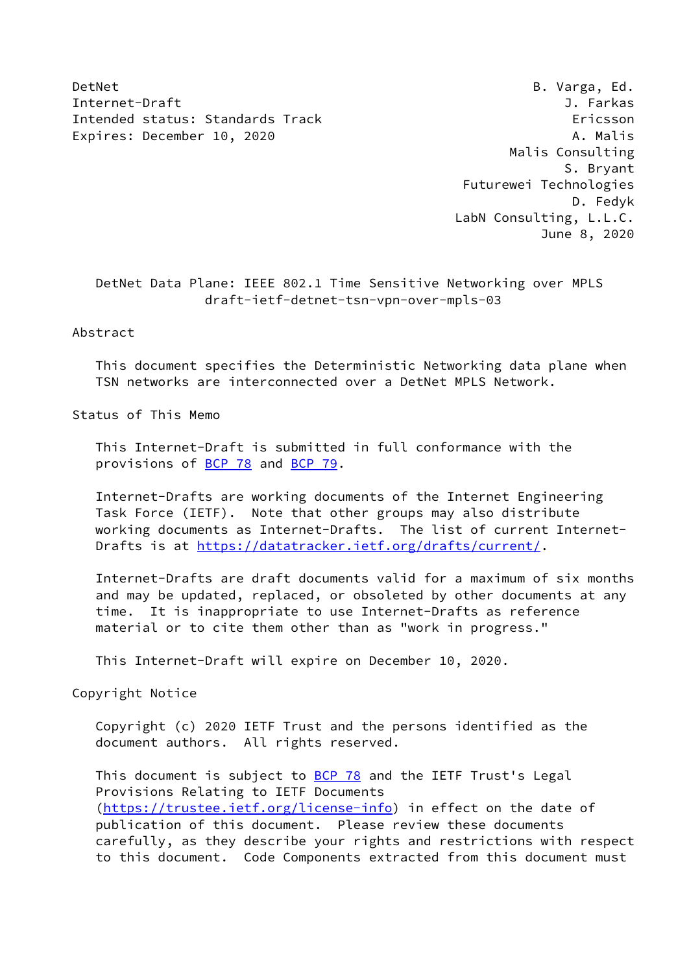DetNet B. Varga, Ed. Internet-Draft J. Farkas Intended status: Standards Track Ericsson Expires: December 10, 2020 A. Malis

 Malis Consulting S. Bryant Futurewei Technologies D. Fedyk LabN Consulting, L.L.C. June 8, 2020

 DetNet Data Plane: IEEE 802.1 Time Sensitive Networking over MPLS draft-ietf-detnet-tsn-vpn-over-mpls-03

## Abstract

 This document specifies the Deterministic Networking data plane when TSN networks are interconnected over a DetNet MPLS Network.

Status of This Memo

 This Internet-Draft is submitted in full conformance with the provisions of **BCP 78** and **BCP 79**.

 Internet-Drafts are working documents of the Internet Engineering Task Force (IETF). Note that other groups may also distribute working documents as Internet-Drafts. The list of current Internet Drafts is at<https://datatracker.ietf.org/drafts/current/>.

 Internet-Drafts are draft documents valid for a maximum of six months and may be updated, replaced, or obsoleted by other documents at any time. It is inappropriate to use Internet-Drafts as reference material or to cite them other than as "work in progress."

This Internet-Draft will expire on December 10, 2020.

Copyright Notice

 Copyright (c) 2020 IETF Trust and the persons identified as the document authors. All rights reserved.

This document is subject to **[BCP 78](https://datatracker.ietf.org/doc/pdf/bcp78)** and the IETF Trust's Legal Provisions Relating to IETF Documents [\(https://trustee.ietf.org/license-info](https://trustee.ietf.org/license-info)) in effect on the date of publication of this document. Please review these documents carefully, as they describe your rights and restrictions with respect to this document. Code Components extracted from this document must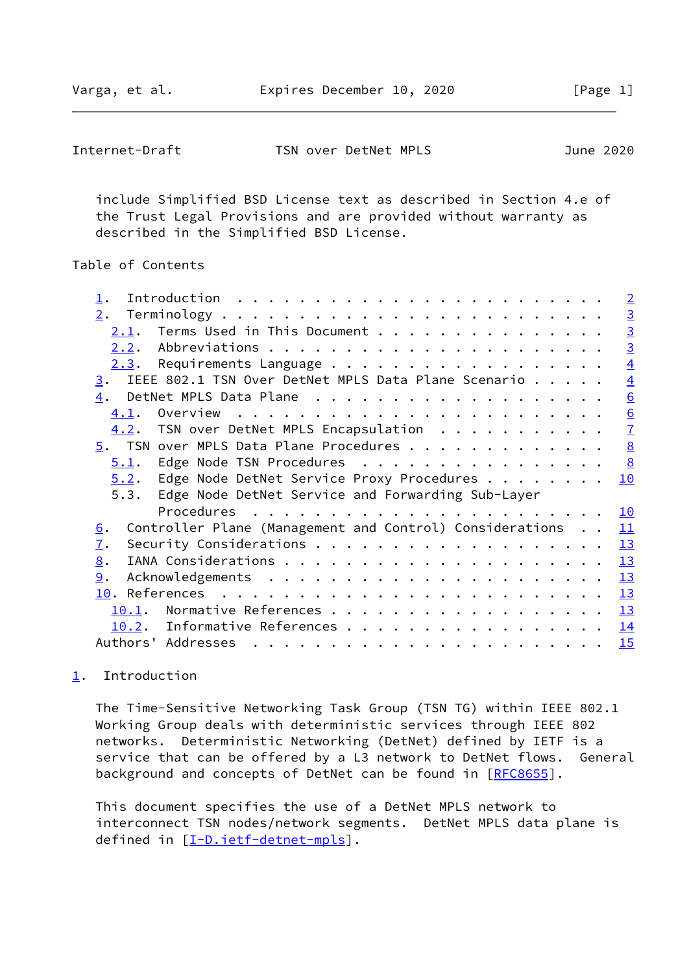<span id="page-1-1"></span>

| Internet-Draft | TSN over DetNet MPLS | June 2020 |
|----------------|----------------------|-----------|
|                |                      |           |

 include Simplified BSD License text as described in Section 4.e of the Trust Legal Provisions and are provided without warranty as described in the Simplified BSD License.

# Table of Contents

|                                                                        | $\overline{2}$  |
|------------------------------------------------------------------------|-----------------|
|                                                                        | $\overline{3}$  |
| Terms Used in This Document<br>2.1.                                    | $\overline{3}$  |
|                                                                        | $\overline{3}$  |
| Requirements Language<br>2.3.                                          | $\overline{4}$  |
| IEEE 802.1 TSN Over DetNet MPLS Data Plane Scenario<br>3.              | $\overline{4}$  |
| $\overline{4}$ .                                                       | 6               |
| 4.1.                                                                   |                 |
| TSN over DetNet MPLS Encapsulation<br>4.2.                             | $\frac{6}{7}$   |
| $\overline{5}$ . TSN over MPLS Data Plane Procedures                   | $\underline{8}$ |
| Edge Node TSN Procedures<br>5.1.                                       | 8               |
| $5.2$ . Edge Node DetNet Service Proxy Procedures                      | 10              |
| Edge Node DetNet Service and Forwarding Sub-Layer<br>5.3.              |                 |
|                                                                        | 10              |
| Controller Plane (Management and Control) Considerations<br><u>6</u> . | 11              |
| $\mathbf{I}$ .                                                         | 13              |
| 8.                                                                     | 13              |
| 9.                                                                     | 13              |
|                                                                        | 13              |
| 10.1.                                                                  | 13              |
| Informative References<br>10.2.                                        | 14              |
|                                                                        |                 |

# <span id="page-1-0"></span>[1](#page-1-0). Introduction

 The Time-Sensitive Networking Task Group (TSN TG) within IEEE 802.1 Working Group deals with deterministic services through IEEE 802 networks. Deterministic Networking (DetNet) defined by IETF is a service that can be offered by a L3 network to DetNet flows. General background and concepts of DetNet can be found in [[RFC8655](https://datatracker.ietf.org/doc/pdf/rfc8655)].

 This document specifies the use of a DetNet MPLS network to interconnect TSN nodes/network segments. DetNet MPLS data plane is defined in [[I-D.ietf-detnet-mpls\]](#page-14-4).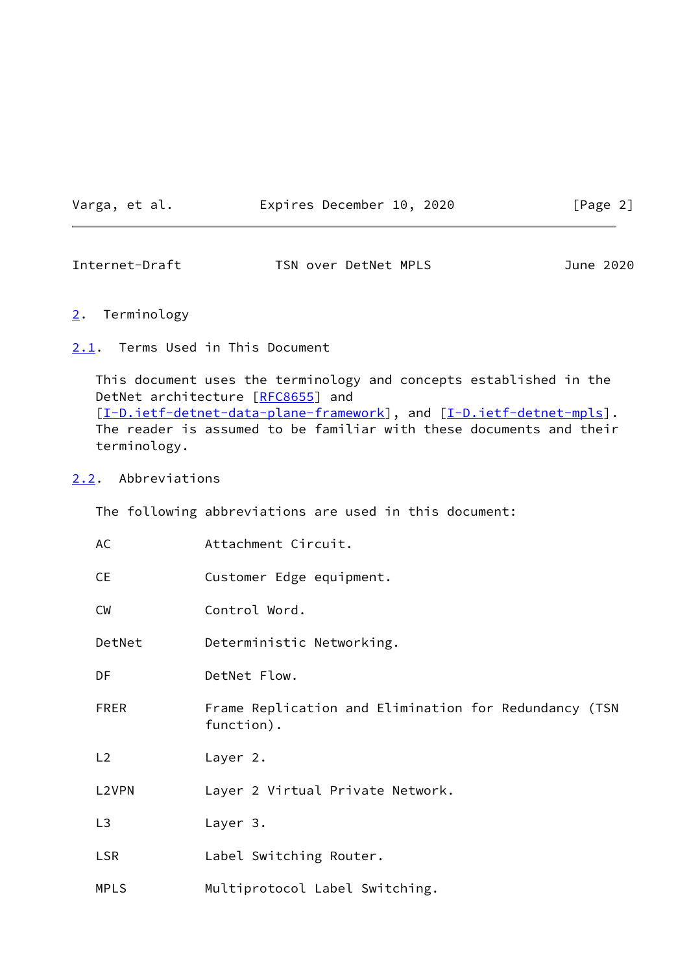Varga, et al. **Expires December 10, 2020** [Page 2]

<span id="page-2-1"></span>Internet-Draft TSN over DetNet MPLS June 2020

### <span id="page-2-0"></span>[2](#page-2-0). Terminology

<span id="page-2-2"></span>[2.1](#page-2-2). Terms Used in This Document

 This document uses the terminology and concepts established in the DetNet architecture [\[RFC8655](https://datatracker.ietf.org/doc/pdf/rfc8655)] and [\[I-D.ietf-detnet-data-plane-framework](#page-14-5)], and [\[I-D.ietf-detnet-mpls](#page-14-4)]. The reader is assumed to be familiar with these documents and their terminology.

### <span id="page-2-3"></span>[2.2](#page-2-3). Abbreviations

The following abbreviations are used in this document:

| AC             | Attachment Circuit.                                                 |
|----------------|---------------------------------------------------------------------|
| <b>CE</b>      | Customer Edge equipment.                                            |
| <b>CW</b>      | Control Word.                                                       |
| DetNet         | Deterministic Networking.                                           |
| DF             | DetNet Flow.                                                        |
| <b>FRER</b>    | Frame Replication and Elimination for Redundancy (TSN<br>function). |
| L2             | Layer 2.                                                            |
| L2VPN          | Layer 2 Virtual Private Network.                                    |
| L <sub>3</sub> | Layer 3.                                                            |
| <b>LSR</b>     | Label Switching Router.                                             |
| <b>MPLS</b>    | Multiprotocol Label Switching.                                      |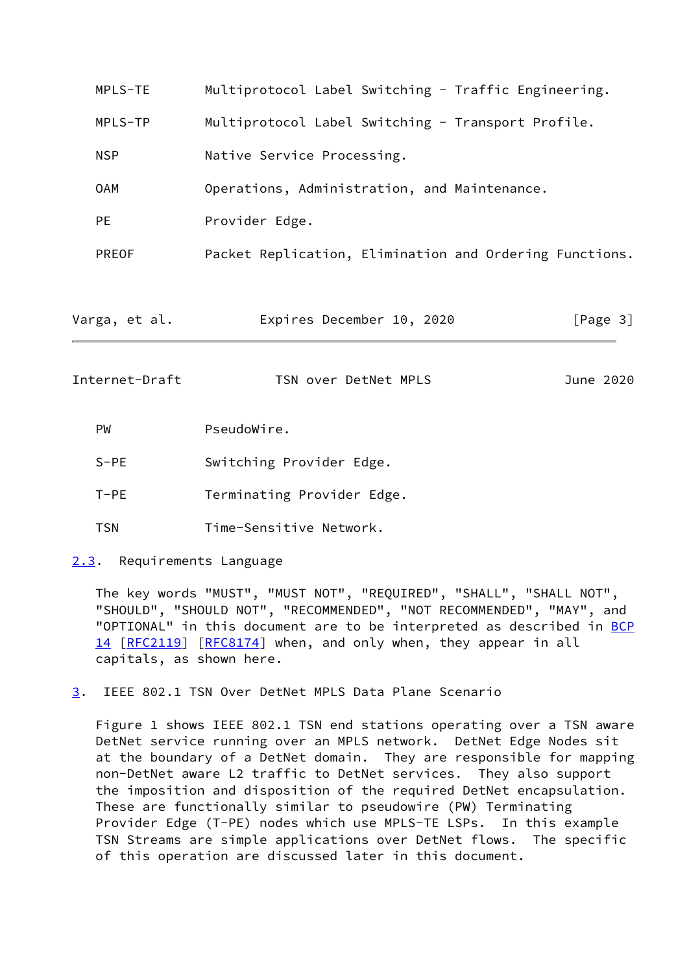| Multiprotocol Label Switching - Traffic Engineering.<br>MPLS-TE |                                                         |           |  |  |  |  |
|-----------------------------------------------------------------|---------------------------------------------------------|-----------|--|--|--|--|
| MPLS-TP                                                         | Multiprotocol Label Switching - Transport Profile.      |           |  |  |  |  |
| <b>NSP</b>                                                      | Native Service Processing.                              |           |  |  |  |  |
| <b>OAM</b>                                                      | Operations, Administration, and Maintenance.            |           |  |  |  |  |
| <b>PE</b>                                                       | Provider Edge.                                          |           |  |  |  |  |
| PREOF                                                           | Packet Replication, Elimination and Ordering Functions. |           |  |  |  |  |
| Varga, et al.                                                   | Expires December 10, 2020                               | [Page 3]  |  |  |  |  |
| Internet-Draft                                                  | TSN over DetNet MPLS                                    | June 2020 |  |  |  |  |
| <b>PW</b>                                                       | PseudoWire.                                             |           |  |  |  |  |
| $S-PE$                                                          | Switching Provider Edge.                                |           |  |  |  |  |
| $T-PE$<br>Terminating Provider Edge.                            |                                                         |           |  |  |  |  |

- <span id="page-3-1"></span>TSN Time-Sensitive Network.
- <span id="page-3-0"></span>[2.3](#page-3-0). Requirements Language

 The key words "MUST", "MUST NOT", "REQUIRED", "SHALL", "SHALL NOT", "SHOULD", "SHOULD NOT", "RECOMMENDED", "NOT RECOMMENDED", "MAY", and "OPTIONAL" in this document are to be interpreted as described in [BCP](https://datatracker.ietf.org/doc/pdf/bcp14) [14](https://datatracker.ietf.org/doc/pdf/bcp14) [[RFC2119\]](https://datatracker.ietf.org/doc/pdf/rfc2119) [\[RFC8174](https://datatracker.ietf.org/doc/pdf/rfc8174)] when, and only when, they appear in all capitals, as shown here.

<span id="page-3-2"></span>[3](#page-3-2). IEEE 802.1 TSN Over DetNet MPLS Data Plane Scenario

 Figure 1 shows IEEE 802.1 TSN end stations operating over a TSN aware DetNet service running over an MPLS network. DetNet Edge Nodes sit at the boundary of a DetNet domain. They are responsible for mapping non-DetNet aware L2 traffic to DetNet services. They also support the imposition and disposition of the required DetNet encapsulation. These are functionally similar to pseudowire (PW) Terminating Provider Edge (T-PE) nodes which use MPLS-TE LSPs. In this example TSN Streams are simple applications over DetNet flows. The specific of this operation are discussed later in this document.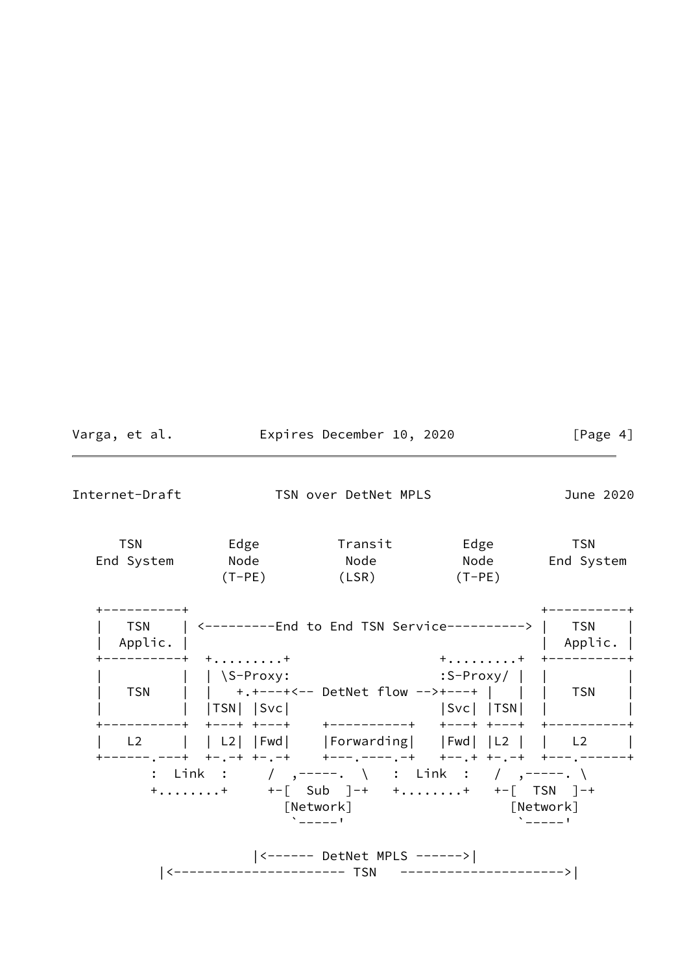| Varga, et al.  | Expires December 10, 2020 |                               |                                                                                                                        | [Page $4$ ]          |
|----------------|---------------------------|-------------------------------|------------------------------------------------------------------------------------------------------------------------|----------------------|
| Internet-Draft |                           | TSN over DetNet MPLS          |                                                                                                                        | June 2020            |
| <b>TSN</b>     | End System Node Node      | $(T-PE)$ $(LSR)$ $(T-PE)$     | Node End System                                                                                                        | <b>TSN</b>           |
| Applic.        |                           |                               | TSN   <--------End to End TSN Service--------->   TSN                                                                  | Applic.              |
|                | ---------+ ++             |                               | $+ \ldots \ldots \ldots + + + - - - - - - - - +$                                                                       |                      |
|                |                           |                               | L2     L2   Fwd   Forwarding   Fwd   L2     L2  <br>+------,---+ +-,-+ +-,-+   +---,----,-+   +--,+ +-,-+ +---,------+ |                      |
|                |                           | [Network]<br>$\sum_{n=1}^{n}$ | : Link : / ,-----. \ : Link : / ,-----. \<br>$+$ + $+-$ [ Sub ]-+ $+$ + $+-$ [ TSN ]-+<br>[Network]                    | $\Delta$ = = = = = 1 |
|                |                           | <------ DetNet MPLS ------>   |                                                                                                                        |                      |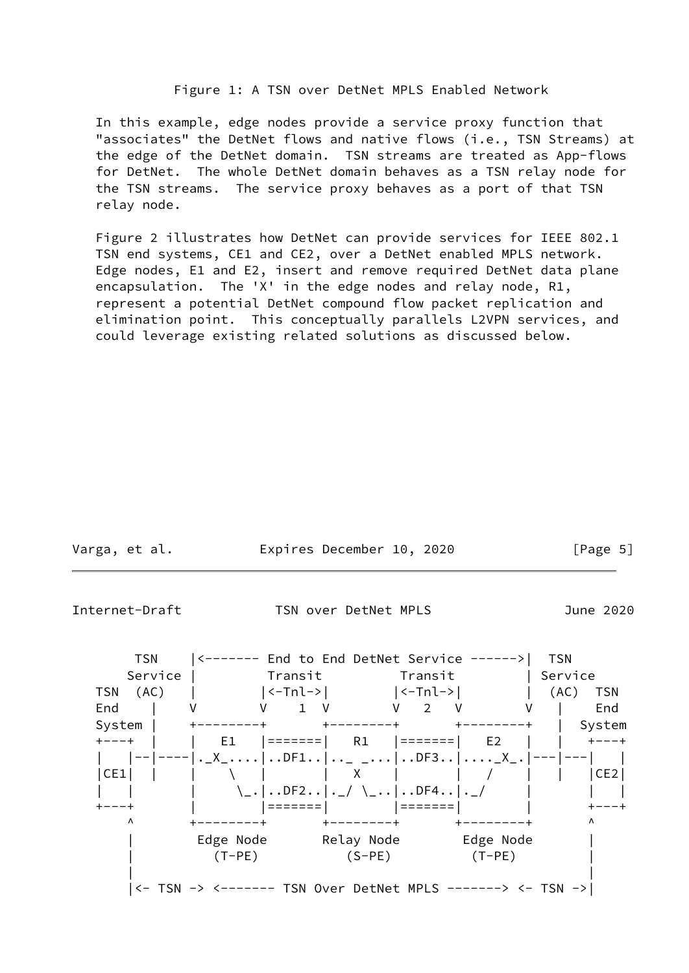### Figure 1: A TSN over DetNet MPLS Enabled Network

 In this example, edge nodes provide a service proxy function that "associates" the DetNet flows and native flows (i.e., TSN Streams) at the edge of the DetNet domain. TSN streams are treated as App-flows for DetNet. The whole DetNet domain behaves as a TSN relay node for the TSN streams. The service proxy behaves as a port of that TSN relay node.

 Figure 2 illustrates how DetNet can provide services for IEEE 802.1 TSN end systems, CE1 and CE2, over a DetNet enabled MPLS network. Edge nodes, E1 and E2, insert and remove required DetNet data plane encapsulation. The 'X' in the edge nodes and relay node, R1, represent a potential DetNet compound flow packet replication and elimination point. This conceptually parallels L2VPN services, and could leverage existing related solutions as discussed below.

| Varga, et al. | Expires December 10, 2020 |  | [Page 5] |  |
|---------------|---------------------------|--|----------|--|
|               |                           |  |          |  |

<span id="page-5-0"></span>Internet-Draft TSN over DetNet MPLS June 2020

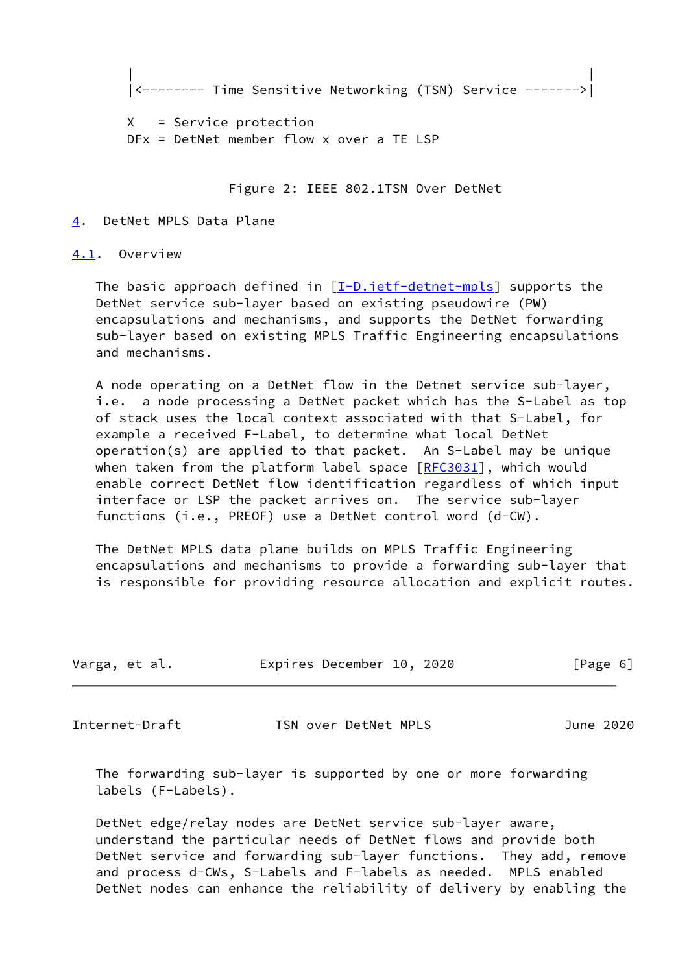```
 | |
|<-------- Time Sensitive Networking (TSN) Service ------->|
```
 X = Service protection DFx = DetNet member flow x over a TE LSP

Figure 2: IEEE 802.1TSN Over DetNet

#### <span id="page-6-0"></span>[4](#page-6-0). DetNet MPLS Data Plane

<span id="page-6-1"></span>[4.1](#page-6-1). Overview

The basic approach defined in  $[I-D.iett-detnet-mpls]$  supports the DetNet service sub-layer based on existing pseudowire (PW) encapsulations and mechanisms, and supports the DetNet forwarding sub-layer based on existing MPLS Traffic Engineering encapsulations and mechanisms.

 A node operating on a DetNet flow in the Detnet service sub-layer, i.e. a node processing a DetNet packet which has the S-Label as top of stack uses the local context associated with that S-Label, for example a received F-Label, to determine what local DetNet operation(s) are applied to that packet. An S-Label may be unique when taken from the platform label space  $[REC3031]$ , which would enable correct DetNet flow identification regardless of which input interface or LSP the packet arrives on. The service sub-layer functions (i.e., PREOF) use a DetNet control word (d-CW).

 The DetNet MPLS data plane builds on MPLS Traffic Engineering encapsulations and mechanisms to provide a forwarding sub-layer that is responsible for providing resource allocation and explicit routes.

| Varga, et al. | Expires December 10, 2020 | [Page 6] |
|---------------|---------------------------|----------|
|               |                           |          |

<span id="page-6-2"></span>Internet-Draft TSN over DetNet MPLS June 2020

 The forwarding sub-layer is supported by one or more forwarding labels (F-Labels).

 DetNet edge/relay nodes are DetNet service sub-layer aware, understand the particular needs of DetNet flows and provide both DetNet service and forwarding sub-layer functions. They add, remove and process d-CWs, S-Labels and F-labels as needed. MPLS enabled DetNet nodes can enhance the reliability of delivery by enabling the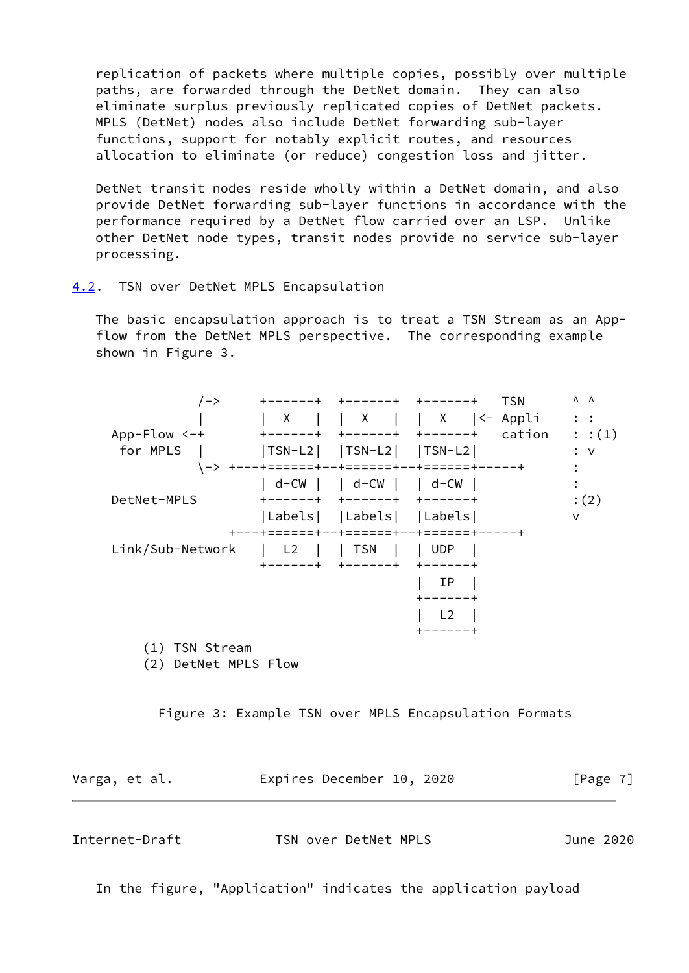replication of packets where multiple copies, possibly over multiple paths, are forwarded through the DetNet domain. They can also eliminate surplus previously replicated copies of DetNet packets. MPLS (DetNet) nodes also include DetNet forwarding sub-layer functions, support for notably explicit routes, and resources allocation to eliminate (or reduce) congestion loss and jitter.

 DetNet transit nodes reside wholly within a DetNet domain, and also provide DetNet forwarding sub-layer functions in accordance with the performance required by a DetNet flow carried over an LSP. Unlike other DetNet node types, transit nodes provide no service sub-layer processing.

<span id="page-7-0"></span>[4.2](#page-7-0). TSN over DetNet MPLS Encapsulation

 The basic encapsulation approach is to treat a TSN Stream as an App flow from the DetNet MPLS perspective. The corresponding example shown in Figure 3.

| $/ -$ >                      |                                | <b>-----+ +------+</b>                              | <b>TSN</b><br>- ナーーーーー                    | $\Lambda$ $\Lambda$       |
|------------------------------|--------------------------------|-----------------------------------------------------|-------------------------------------------|---------------------------|
| $App-Flow < -+$<br>for MPLS  | X <br>-----+                   | $+ - - - - - +$<br>$ TSN-L2 $ $ TSN-L2 $ $ TSN-L2 $ | X   <- Appli<br>cation<br>$+ - - - - - +$ | $\ddots$<br>: :(1)<br>: v |
|                              | <b>ナーーーナニニニニニニ十</b>            |                                                     | --+======+--+======+-----+                |                           |
|                              |                                | d-CW     d-CW     d-CW                              |                                           |                           |
| DetNet-MPLS                  | ------+                        | $+ - - - - - +$                                     | $+ - - - - - +$                           | :(2)                      |
|                              |                                | Labels   Labels   Labels                            |                                           | v                         |
|                              |                                |                                                     |                                           |                           |
| Link/Sub-Network             | L <sub>2</sub><br>$\mathbf{L}$ | $ $ TSN                                             | I UDP                                     |                           |
|                              | -+<br>----                     | $\pm$                                               | +-<br>-----+                              |                           |
|                              |                                |                                                     | ΙP                                        |                           |
|                              |                                |                                                     |                                           |                           |
|                              |                                |                                                     | L <sub>2</sub>                            |                           |
|                              |                                |                                                     |                                           |                           |
| TSN Stream<br>(1)            |                                |                                                     |                                           |                           |
| $\sim$<br><b>PUBLIC FILM</b> |                                |                                                     |                                           |                           |

(2) DetNet MPLS Flow

Figure 3: Example TSN over MPLS Encapsulation Formats

Varga, et al. **Expires December 10, 2020** [Page 7]

<span id="page-7-1"></span>

| Internet-Draft | TSN over DetNet MPLS | June 2020 |  |
|----------------|----------------------|-----------|--|
|                |                      |           |  |

In the figure, "Application" indicates the application payload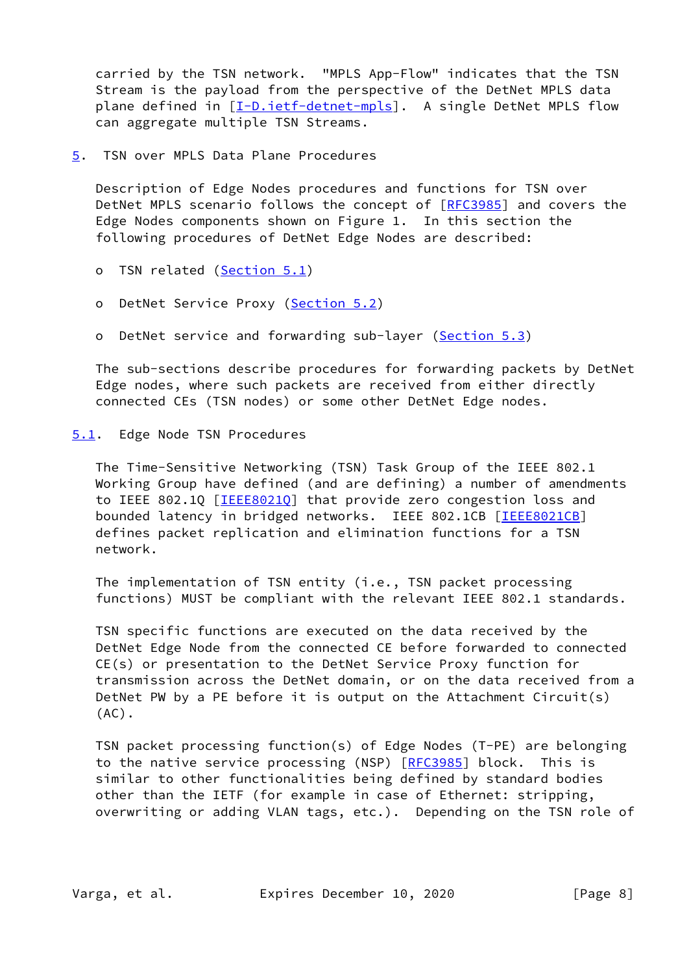carried by the TSN network. "MPLS App-Flow" indicates that the TSN Stream is the payload from the perspective of the DetNet MPLS data plane defined in [\[I-D.ietf-detnet-mpls](#page-14-4)]. A single DetNet MPLS flow can aggregate multiple TSN Streams.

<span id="page-8-0"></span>[5](#page-8-0). TSN over MPLS Data Plane Procedures

 Description of Edge Nodes procedures and functions for TSN over DetNet MPLS scenario follows the concept of [\[RFC3985](https://datatracker.ietf.org/doc/pdf/rfc3985)] and covers the Edge Nodes components shown on Figure 1. In this section the following procedures of DetNet Edge Nodes are described:

- o TSN related [\(Section 5.1](#page-8-1))
- o DetNet Service Proxy [\(Section 5.2](#page-10-0))
- o DetNet service and forwarding sub-layer ([Section 5.3\)](#page-11-2)

 The sub-sections describe procedures for forwarding packets by DetNet Edge nodes, where such packets are received from either directly connected CEs (TSN nodes) or some other DetNet Edge nodes.

### <span id="page-8-1"></span>[5.1](#page-8-1). Edge Node TSN Procedures

 The Time-Sensitive Networking (TSN) Task Group of the IEEE 802.1 Working Group have defined (and are defining) a number of amendments to IEEE 802.1Q [\[IEEE8021Q](#page-15-1)] that provide zero congestion loss and bounded latency in bridged networks. IEEE 802.1CB [[IEEE8021CB\]](#page-15-2) defines packet replication and elimination functions for a TSN network.

 The implementation of TSN entity (i.e., TSN packet processing functions) MUST be compliant with the relevant IEEE 802.1 standards.

 TSN specific functions are executed on the data received by the DetNet Edge Node from the connected CE before forwarded to connected CE(s) or presentation to the DetNet Service Proxy function for transmission across the DetNet domain, or on the data received from a DetNet PW by a PE before it is output on the Attachment Circuit(s) (AC).

 TSN packet processing function(s) of Edge Nodes (T-PE) are belonging to the native service processing (NSP) [\[RFC3985](https://datatracker.ietf.org/doc/pdf/rfc3985)] block. This is similar to other functionalities being defined by standard bodies other than the IETF (for example in case of Ethernet: stripping, overwriting or adding VLAN tags, etc.). Depending on the TSN role of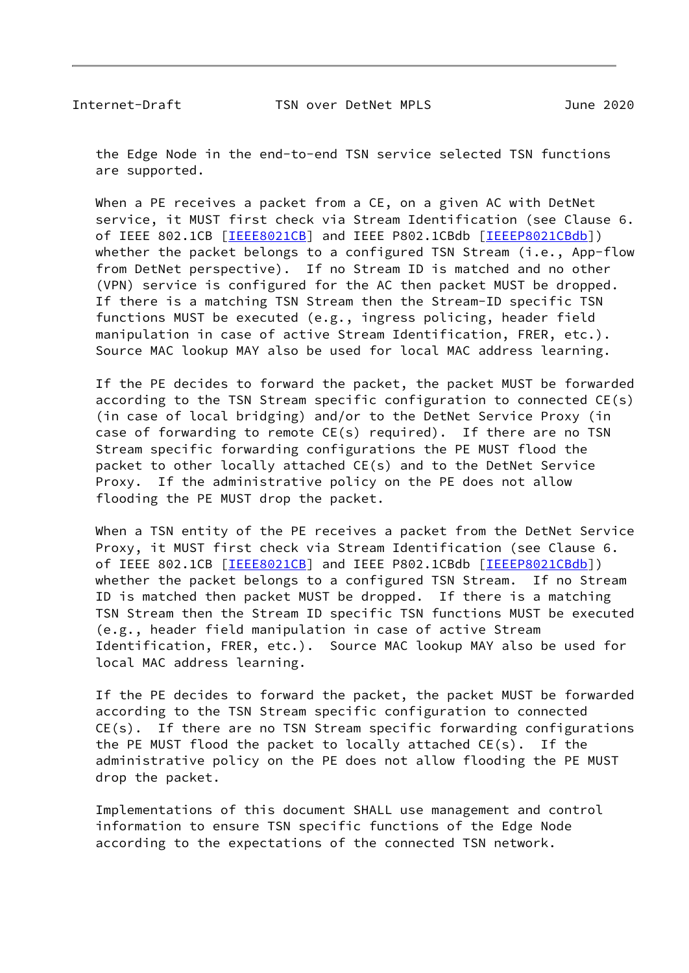the Edge Node in the end-to-end TSN service selected TSN functions are supported.

 When a PE receives a packet from a CE, on a given AC with DetNet service, it MUST first check via Stream Identification (see Clause 6. of IEEE 802.1CB [\[IEEE8021CB\]](#page-15-2) and IEEE P802.1CBdb [\[IEEEP8021CBdb\]](#page-15-3)) whether the packet belongs to a configured TSN Stream (i.e., App-flow from DetNet perspective). If no Stream ID is matched and no other (VPN) service is configured for the AC then packet MUST be dropped. If there is a matching TSN Stream then the Stream-ID specific TSN functions MUST be executed (e.g., ingress policing, header field manipulation in case of active Stream Identification, FRER, etc.). Source MAC lookup MAY also be used for local MAC address learning.

 If the PE decides to forward the packet, the packet MUST be forwarded according to the TSN Stream specific configuration to connected CE(s) (in case of local bridging) and/or to the DetNet Service Proxy (in case of forwarding to remote  $CE(s)$  required). If there are no TSN Stream specific forwarding configurations the PE MUST flood the packet to other locally attached CE(s) and to the DetNet Service Proxy. If the administrative policy on the PE does not allow flooding the PE MUST drop the packet.

 When a TSN entity of the PE receives a packet from the DetNet Service Proxy, it MUST first check via Stream Identification (see Clause 6. of IEEE 802.1CB [\[IEEE8021CB\]](#page-15-2) and IEEE P802.1CBdb [\[IEEEP8021CBdb\]](#page-15-3)) whether the packet belongs to a configured TSN Stream. If no Stream ID is matched then packet MUST be dropped. If there is a matching TSN Stream then the Stream ID specific TSN functions MUST be executed (e.g., header field manipulation in case of active Stream Identification, FRER, etc.). Source MAC lookup MAY also be used for local MAC address learning.

 If the PE decides to forward the packet, the packet MUST be forwarded according to the TSN Stream specific configuration to connected CE(s). If there are no TSN Stream specific forwarding configurations the PE MUST flood the packet to locally attached CE(s). If the administrative policy on the PE does not allow flooding the PE MUST drop the packet.

 Implementations of this document SHALL use management and control information to ensure TSN specific functions of the Edge Node according to the expectations of the connected TSN network.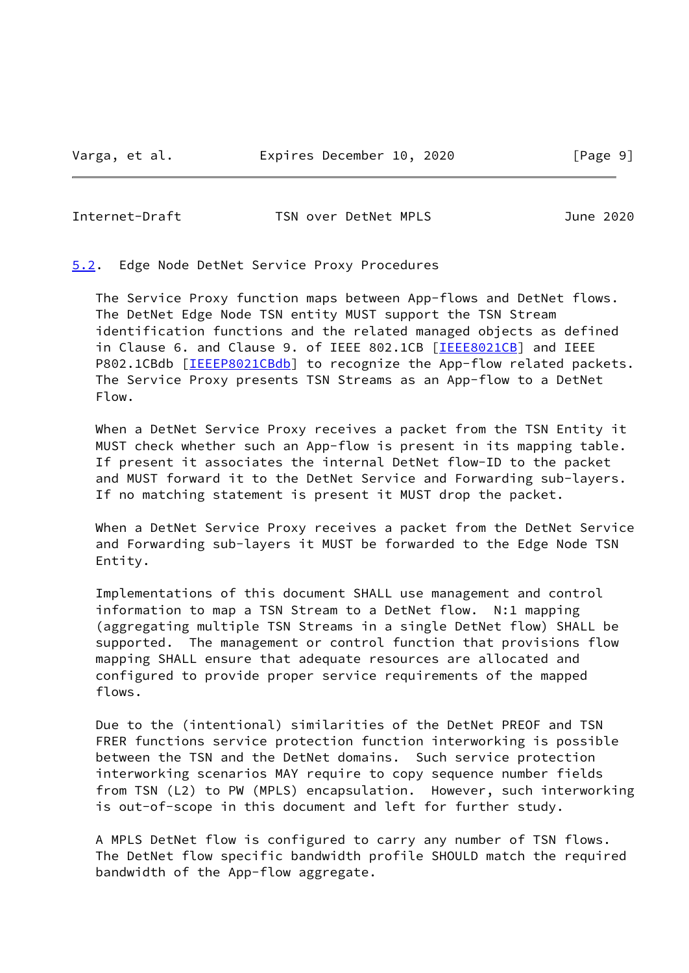<span id="page-10-1"></span>Internet-Draft TSN over DetNet MPLS June 2020

<span id="page-10-0"></span>[5.2](#page-10-0). Edge Node DetNet Service Proxy Procedures

 The Service Proxy function maps between App-flows and DetNet flows. The DetNet Edge Node TSN entity MUST support the TSN Stream identification functions and the related managed objects as defined in Clause 6. and Clause 9. of IEEE 802.1CB [[IEEE8021CB\]](#page-15-2) and IEEE P802.1CBdb [[IEEEP8021CBdb\]](#page-15-3) to recognize the App-flow related packets. The Service Proxy presents TSN Streams as an App-flow to a DetNet Flow.

 When a DetNet Service Proxy receives a packet from the TSN Entity it MUST check whether such an App-flow is present in its mapping table. If present it associates the internal DetNet flow-ID to the packet and MUST forward it to the DetNet Service and Forwarding sub-layers. If no matching statement is present it MUST drop the packet.

 When a DetNet Service Proxy receives a packet from the DetNet Service and Forwarding sub-layers it MUST be forwarded to the Edge Node TSN Entity.

 Implementations of this document SHALL use management and control information to map a TSN Stream to a DetNet flow. N:1 mapping (aggregating multiple TSN Streams in a single DetNet flow) SHALL be supported. The management or control function that provisions flow mapping SHALL ensure that adequate resources are allocated and configured to provide proper service requirements of the mapped flows.

 Due to the (intentional) similarities of the DetNet PREOF and TSN FRER functions service protection function interworking is possible between the TSN and the DetNet domains. Such service protection interworking scenarios MAY require to copy sequence number fields from TSN (L2) to PW (MPLS) encapsulation. However, such interworking is out-of-scope in this document and left for further study.

 A MPLS DetNet flow is configured to carry any number of TSN flows. The DetNet flow specific bandwidth profile SHOULD match the required bandwidth of the App-flow aggregate.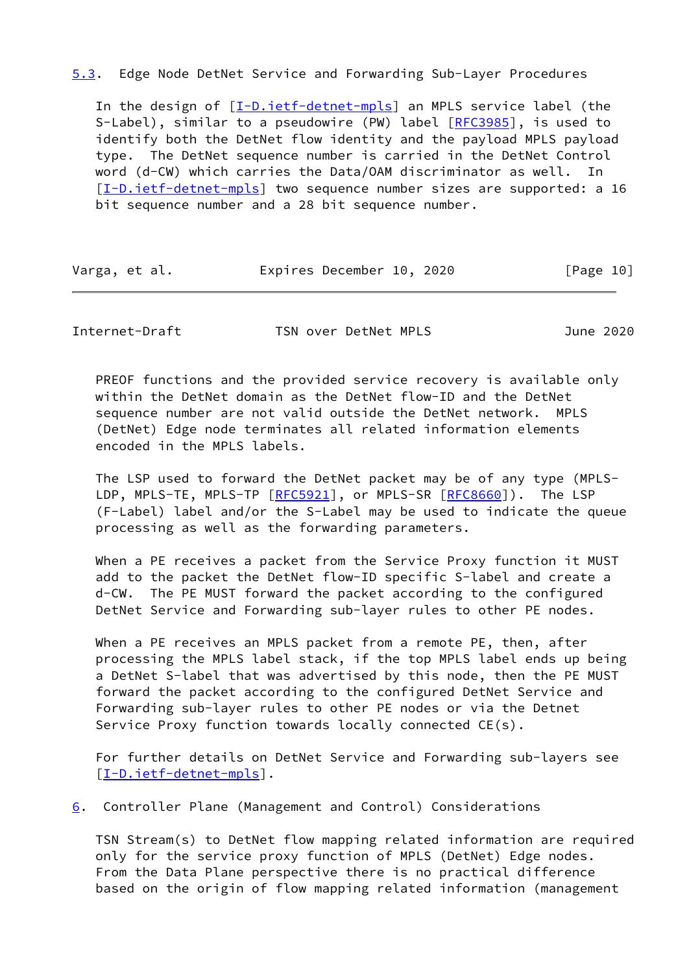### <span id="page-11-2"></span>[5.3](#page-11-2). Edge Node DetNet Service and Forwarding Sub-Layer Procedures

 In the design of [\[I-D.ietf-detnet-mpls](#page-14-4)] an MPLS service label (the S-Label), similar to a pseudowire (PW) label [\[RFC3985](https://datatracker.ietf.org/doc/pdf/rfc3985)], is used to identify both the DetNet flow identity and the payload MPLS payload type. The DetNet sequence number is carried in the DetNet Control word (d-CW) which carries the Data/OAM discriminator as well. In [\[I-D.ietf-detnet-mpls](#page-14-4)] two sequence number sizes are supported: a 16 bit sequence number and a 28 bit sequence number.

| Varga, et al. | Expires December 10, 2020 | [Page 10] |
|---------------|---------------------------|-----------|
|---------------|---------------------------|-----------|

<span id="page-11-1"></span>Internet-Draft TSN over DetNet MPLS June 2020

 PREOF functions and the provided service recovery is available only within the DetNet domain as the DetNet flow-ID and the DetNet sequence number are not valid outside the DetNet network. MPLS (DetNet) Edge node terminates all related information elements encoded in the MPLS labels.

 The LSP used to forward the DetNet packet may be of any type (MPLS- LDP, MPLS-TE, MPLS-TP [[RFC5921](https://datatracker.ietf.org/doc/pdf/rfc5921)], or MPLS-SR [\[RFC8660](https://datatracker.ietf.org/doc/pdf/rfc8660)]). The LSP (F-Label) label and/or the S-Label may be used to indicate the queue processing as well as the forwarding parameters.

 When a PE receives a packet from the Service Proxy function it MUST add to the packet the DetNet flow-ID specific S-label and create a d-CW. The PE MUST forward the packet according to the configured DetNet Service and Forwarding sub-layer rules to other PE nodes.

 When a PE receives an MPLS packet from a remote PE, then, after processing the MPLS label stack, if the top MPLS label ends up being a DetNet S-label that was advertised by this node, then the PE MUST forward the packet according to the configured DetNet Service and Forwarding sub-layer rules to other PE nodes or via the Detnet Service Proxy function towards locally connected CE(s).

 For further details on DetNet Service and Forwarding sub-layers see [\[I-D.ietf-detnet-mpls](#page-14-4)].

<span id="page-11-0"></span>[6](#page-11-0). Controller Plane (Management and Control) Considerations

 TSN Stream(s) to DetNet flow mapping related information are required only for the service proxy function of MPLS (DetNet) Edge nodes. From the Data Plane perspective there is no practical difference based on the origin of flow mapping related information (management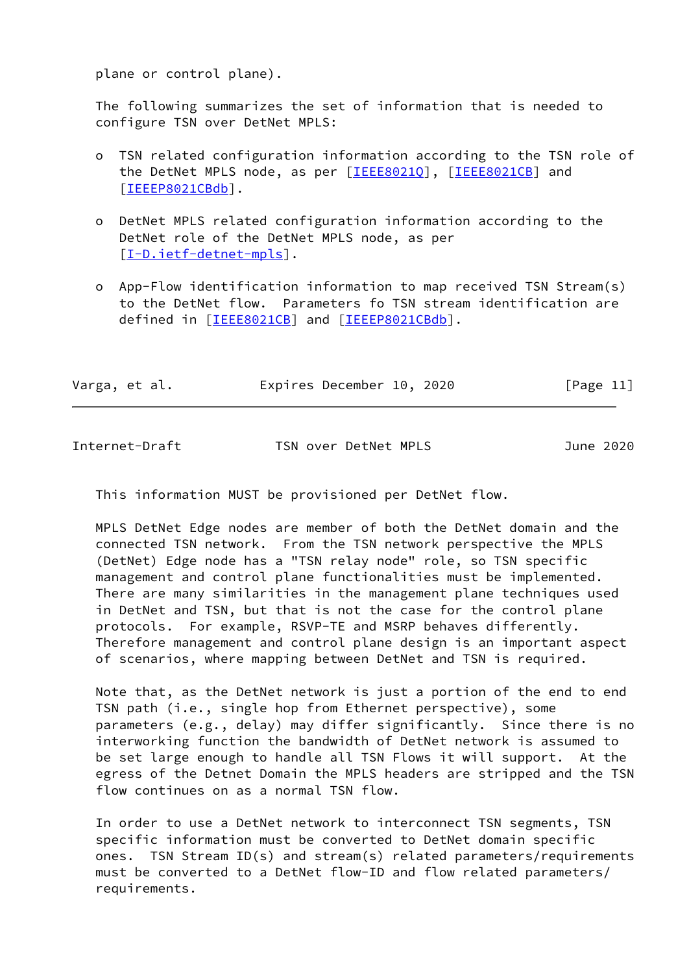plane or control plane).

 The following summarizes the set of information that is needed to configure TSN over DetNet MPLS:

- o TSN related configuration information according to the TSN role of the DetNet MPLS node, as per [\[IEEE8021Q](#page-15-1)], [\[IEEE8021CB\]](#page-15-2) and [[IEEEP8021CBdb\]](#page-15-3).
- o DetNet MPLS related configuration information according to the DetNet role of the DetNet MPLS node, as per [[I-D.ietf-detnet-mpls\]](#page-14-4).
- o App-Flow identification information to map received TSN Stream(s) to the DetNet flow. Parameters fo TSN stream identification are defined in [[IEEE8021CB\]](#page-15-2) and [\[IEEEP8021CBdb](#page-15-3)].

| Varga, et al. |  |  |  | Expires December 10, 2020 |  |  | [Page 11] |  |
|---------------|--|--|--|---------------------------|--|--|-----------|--|
|---------------|--|--|--|---------------------------|--|--|-----------|--|

Internet-Draft TSN over DetNet MPLS June 2020

This information MUST be provisioned per DetNet flow.

 MPLS DetNet Edge nodes are member of both the DetNet domain and the connected TSN network. From the TSN network perspective the MPLS (DetNet) Edge node has a "TSN relay node" role, so TSN specific management and control plane functionalities must be implemented. There are many similarities in the management plane techniques used in DetNet and TSN, but that is not the case for the control plane protocols. For example, RSVP-TE and MSRP behaves differently. Therefore management and control plane design is an important aspect of scenarios, where mapping between DetNet and TSN is required.

 Note that, as the DetNet network is just a portion of the end to end TSN path (i.e., single hop from Ethernet perspective), some parameters (e.g., delay) may differ significantly. Since there is no interworking function the bandwidth of DetNet network is assumed to be set large enough to handle all TSN Flows it will support. At the egress of the Detnet Domain the MPLS headers are stripped and the TSN flow continues on as a normal TSN flow.

 In order to use a DetNet network to interconnect TSN segments, TSN specific information must be converted to DetNet domain specific ones. TSN Stream ID(s) and stream(s) related parameters/requirements must be converted to a DetNet flow-ID and flow related parameters/ requirements.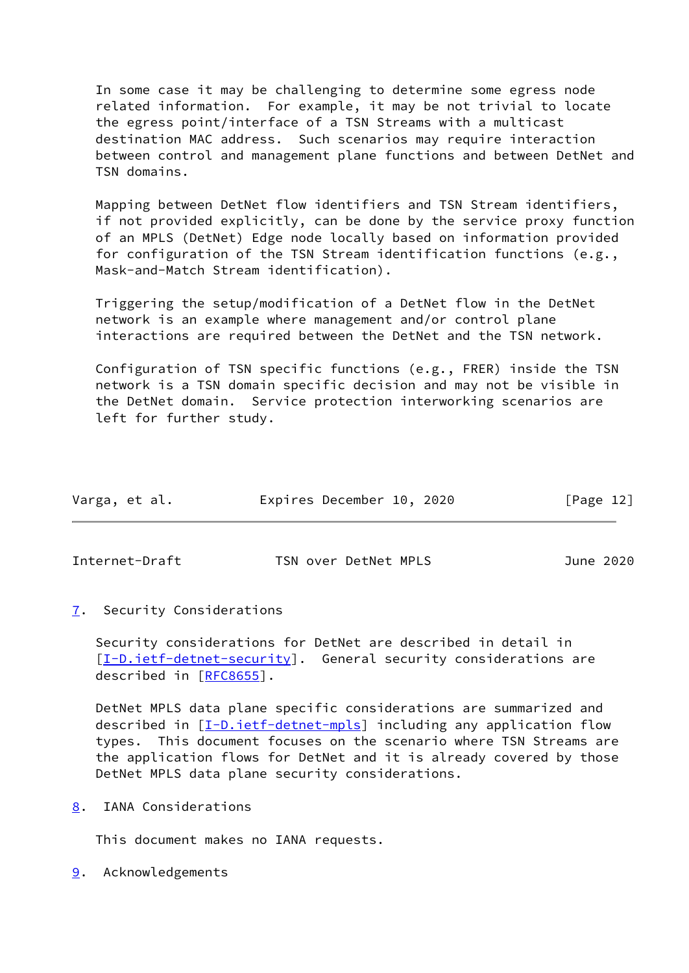In some case it may be challenging to determine some egress node related information. For example, it may be not trivial to locate the egress point/interface of a TSN Streams with a multicast destination MAC address. Such scenarios may require interaction between control and management plane functions and between DetNet and TSN domains.

 Mapping between DetNet flow identifiers and TSN Stream identifiers, if not provided explicitly, can be done by the service proxy function of an MPLS (DetNet) Edge node locally based on information provided for configuration of the TSN Stream identification functions (e.g., Mask-and-Match Stream identification).

 Triggering the setup/modification of a DetNet flow in the DetNet network is an example where management and/or control plane interactions are required between the DetNet and the TSN network.

 Configuration of TSN specific functions (e.g., FRER) inside the TSN network is a TSN domain specific decision and may not be visible in the DetNet domain. Service protection interworking scenarios are left for further study.

| Varga, et al. | Expires December 10, 2020 | [Page 12] |
|---------------|---------------------------|-----------|
|               |                           |           |

<span id="page-13-1"></span>Internet-Draft TSN over DetNet MPLS June 2020

<span id="page-13-0"></span>[7](#page-13-0). Security Considerations

 Security considerations for DetNet are described in detail in  $[I-D.iett-detnet-security]$ . General security considerations are described in [\[RFC8655](https://datatracker.ietf.org/doc/pdf/rfc8655)].

 DetNet MPLS data plane specific considerations are summarized and described in [\[I-D.ietf-detnet-mpls](#page-14-4)] including any application flow types. This document focuses on the scenario where TSN Streams are the application flows for DetNet and it is already covered by those DetNet MPLS data plane security considerations.

<span id="page-13-2"></span>[8](#page-13-2). IANA Considerations

This document makes no IANA requests.

<span id="page-13-3"></span>[9](#page-13-3). Acknowledgements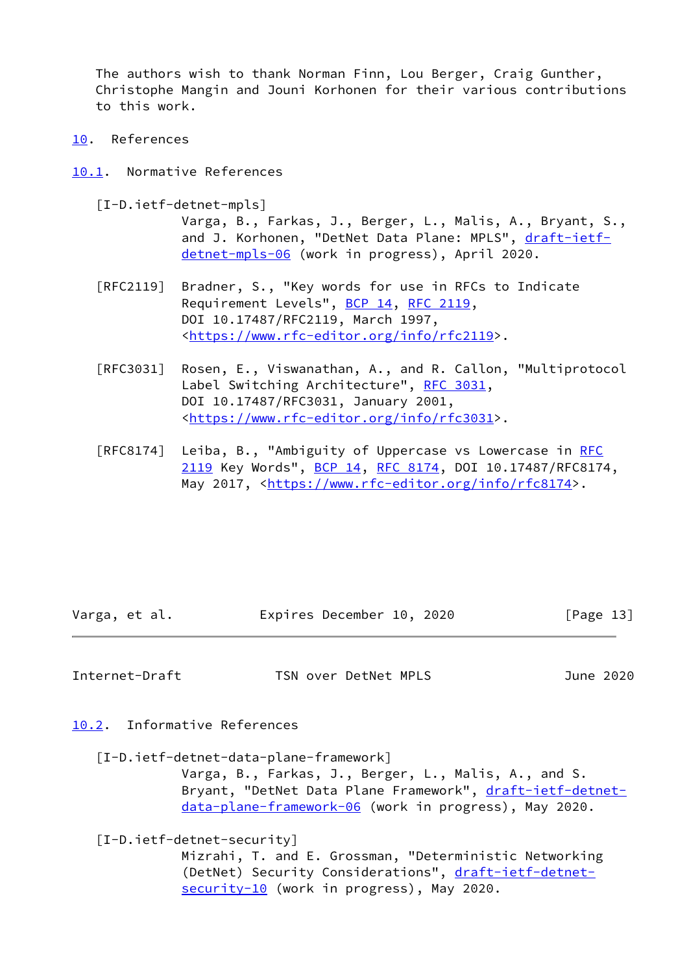The authors wish to thank Norman Finn, Lou Berger, Craig Gunther, Christophe Mangin and Jouni Korhonen for their various contributions to this work.

- <span id="page-14-0"></span>[10.](#page-14-0) References
- <span id="page-14-4"></span><span id="page-14-1"></span>[10.1](#page-14-1). Normative References
	- [I-D.ietf-detnet-mpls]

 Varga, B., Farkas, J., Berger, L., Malis, A., Bryant, S., and J. Korhonen, "DetNet Data Plane: MPLS", [draft-ietf](https://datatracker.ietf.org/doc/pdf/draft-ietf-detnet-mpls-06) [detnet-mpls-06](https://datatracker.ietf.org/doc/pdf/draft-ietf-detnet-mpls-06) (work in progress), April 2020.

- [RFC2119] Bradner, S., "Key words for use in RFCs to Indicate Requirement Levels", [BCP 14](https://datatracker.ietf.org/doc/pdf/bcp14), [RFC 2119](https://datatracker.ietf.org/doc/pdf/rfc2119), DOI 10.17487/RFC2119, March 1997, <[https://www.rfc-editor.org/info/rfc2119>](https://www.rfc-editor.org/info/rfc2119).
- [RFC3031] Rosen, E., Viswanathan, A., and R. Callon, "Multiprotocol Label Switching Architecture", [RFC 3031](https://datatracker.ietf.org/doc/pdf/rfc3031), DOI 10.17487/RFC3031, January 2001, <[https://www.rfc-editor.org/info/rfc3031>](https://www.rfc-editor.org/info/rfc3031).
- [RFC8174] Leiba, B., "Ambiguity of Uppercase vs Lowercase in [RFC](https://datatracker.ietf.org/doc/pdf/rfc2119) [2119](https://datatracker.ietf.org/doc/pdf/rfc2119) Key Words", [BCP 14](https://datatracker.ietf.org/doc/pdf/bcp14), [RFC 8174,](https://datatracker.ietf.org/doc/pdf/rfc8174) DOI 10.17487/RFC8174, May 2017, [<https://www.rfc-editor.org/info/rfc8174](https://www.rfc-editor.org/info/rfc8174)>.

| Varga, et al. | Expires December 10, 2020 |  | [Page 13] |
|---------------|---------------------------|--|-----------|
|               |                           |  |           |

<span id="page-14-3"></span>Internet-Draft TSN over DetNet MPLS June 2020

<span id="page-14-2"></span>[10.2](#page-14-2). Informative References

<span id="page-14-5"></span> [I-D.ietf-detnet-data-plane-framework] Varga, B., Farkas, J., Berger, L., Malis, A., and S. Bryant, "DetNet Data Plane Framework", [draft-ietf-detnet](https://datatracker.ietf.org/doc/pdf/draft-ietf-detnet-data-plane-framework-06) [data-plane-framework-06](https://datatracker.ietf.org/doc/pdf/draft-ietf-detnet-data-plane-framework-06) (work in progress), May 2020.

<span id="page-14-6"></span>[I-D.ietf-detnet-security]

 Mizrahi, T. and E. Grossman, "Deterministic Networking (DetNet) Security Considerations", [draft-ietf-detnet](https://datatracker.ietf.org/doc/pdf/draft-ietf-detnet-security-10)[security-10](https://datatracker.ietf.org/doc/pdf/draft-ietf-detnet-security-10) (work in progress), May 2020.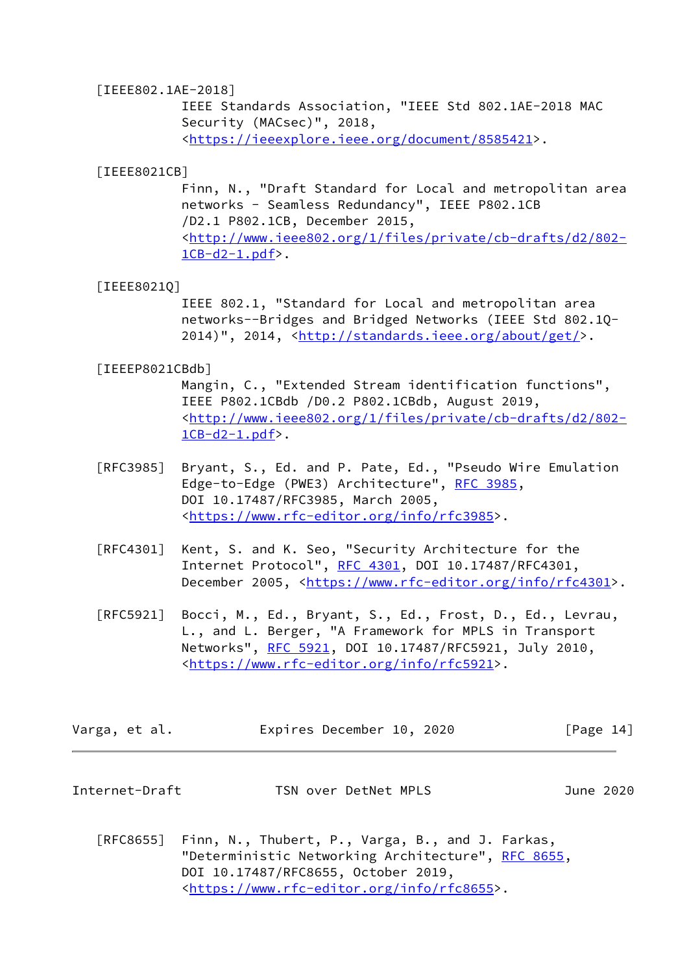#### [IEEE802.1AE-2018]

 IEEE Standards Association, "IEEE Std 802.1AE-2018 MAC Security (MACsec)", 2018, <[https://ieeexplore.ieee.org/document/8585421>](https://ieeexplore.ieee.org/document/8585421).

### <span id="page-15-2"></span>[IEEE8021CB]

 Finn, N., "Draft Standard for Local and metropolitan area networks - Seamless Redundancy", IEEE P802.1CB /D2.1 P802.1CB, December 2015, <[http://www.ieee802.org/1/files/private/cb-drafts/d2/802-](http://www.ieee802.org/1/files/private/cb-drafts/d2/802-1CB-d2-1.pdf)  $1CB-d2-1.pdf$ .

#### <span id="page-15-1"></span>[IEEE8021Q]

 IEEE 802.1, "Standard for Local and metropolitan area networks--Bridges and Bridged Networks (IEEE Std 802.1Q- 2014)", 2014, [<http://standards.ieee.org/about/get/](http://standards.ieee.org/about/get/)>.

#### <span id="page-15-3"></span>[IEEEP8021CBdb]

 Mangin, C., "Extended Stream identification functions", IEEE P802.1CBdb /D0.2 P802.1CBdb, August 2019, <[http://www.ieee802.org/1/files/private/cb-drafts/d2/802-](http://www.ieee802.org/1/files/private/cb-drafts/d2/802-1CB-d2-1.pdf)  $1CB-d2-1.pdf$ .

- [RFC3985] Bryant, S., Ed. and P. Pate, Ed., "Pseudo Wire Emulation Edge-to-Edge (PWE3) Architecture", [RFC 3985](https://datatracker.ietf.org/doc/pdf/rfc3985), DOI 10.17487/RFC3985, March 2005, <[https://www.rfc-editor.org/info/rfc3985>](https://www.rfc-editor.org/info/rfc3985).
- [RFC4301] Kent, S. and K. Seo, "Security Architecture for the Internet Protocol", [RFC 4301,](https://datatracker.ietf.org/doc/pdf/rfc4301) DOI 10.17487/RFC4301, December 2005, <<https://www.rfc-editor.org/info/rfc4301>>.
- [RFC5921] Bocci, M., Ed., Bryant, S., Ed., Frost, D., Ed., Levrau, L., and L. Berger, "A Framework for MPLS in Transport Networks", [RFC 5921](https://datatracker.ietf.org/doc/pdf/rfc5921), DOI 10.17487/RFC5921, July 2010, <[https://www.rfc-editor.org/info/rfc5921>](https://www.rfc-editor.org/info/rfc5921).

|  | Varga, et al. |  | Expires December 10, 2020 |  |  | [Page 14] |  |  |
|--|---------------|--|---------------------------|--|--|-----------|--|--|
|--|---------------|--|---------------------------|--|--|-----------|--|--|

<span id="page-15-0"></span>

| Internet-Draft | TSN over DetNet MPLS | June 2020 |
|----------------|----------------------|-----------|
|----------------|----------------------|-----------|

 [RFC8655] Finn, N., Thubert, P., Varga, B., and J. Farkas, "Deterministic Networking Architecture", [RFC 8655,](https://datatracker.ietf.org/doc/pdf/rfc8655) DOI 10.17487/RFC8655, October 2019, <[https://www.rfc-editor.org/info/rfc8655>](https://www.rfc-editor.org/info/rfc8655).